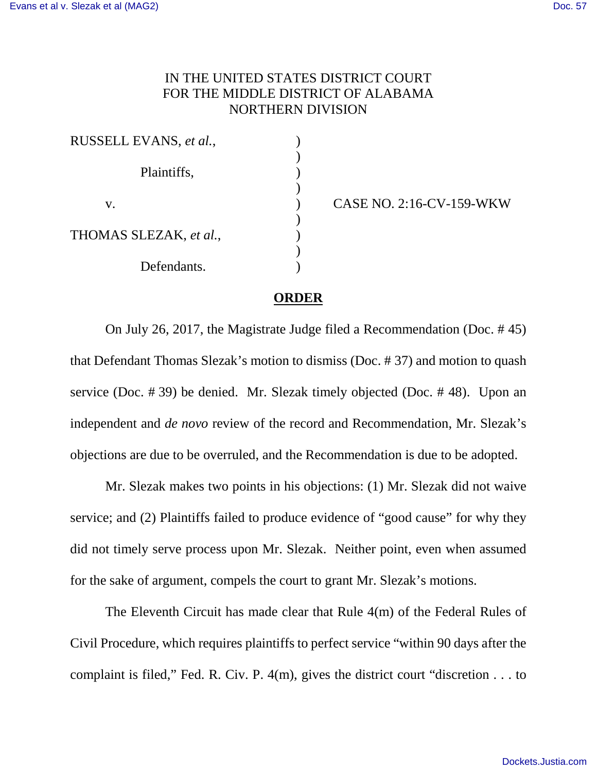## IN THE UNITED STATES DISTRICT COURT FOR THE MIDDLE DISTRICT OF ALABAMA NORTHERN DIVISION

) ) ) ) ) ) ) ) )

| RUSSELL EVANS, et al., |  |
|------------------------|--|
| Plaintiffs,            |  |
| V.                     |  |
| THOMAS SLEZAK, et al., |  |
| Defendants.            |  |

CASE NO. 2:16-CV-159-WKW

## **ORDER**

On July 26, 2017, the Magistrate Judge filed a Recommendation (Doc. # 45) that Defendant Thomas Slezak's motion to dismiss (Doc. # 37) and motion to quash service (Doc. # 39) be denied. Mr. Slezak timely objected (Doc. # 48). Upon an independent and *de novo* review of the record and Recommendation, Mr. Slezak's objections are due to be overruled, and the Recommendation is due to be adopted.

Mr. Slezak makes two points in his objections: (1) Mr. Slezak did not waive service; and (2) Plaintiffs failed to produce evidence of "good cause" for why they did not timely serve process upon Mr. Slezak. Neither point, even when assumed for the sake of argument, compels the court to grant Mr. Slezak's motions.

The Eleventh Circuit has made clear that Rule 4(m) of the Federal Rules of Civil Procedure, which requires plaintiffs to perfect service "within 90 days after the complaint is filed," Fed. R. Civ. P. 4(m), gives the district court "discretion . . . to